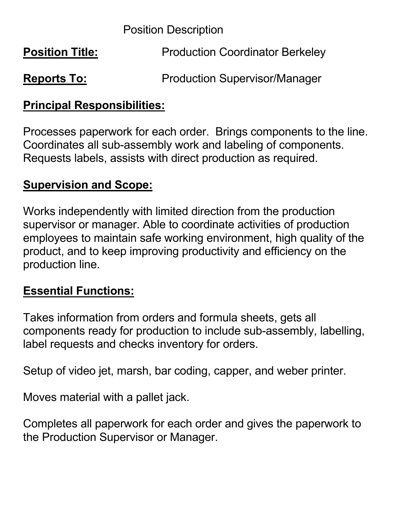Position Description

| <b>Position Title:</b> | <b>Production Coordinator Berkeley</b> |
|------------------------|----------------------------------------|
| <b>Reports To:</b>     | <b>Production Supervisor/Manager</b>   |

## **Principal Responsibilities:**

Processes paperwork for each order. Brings components to the line. Coordinates all sub-assembly work and labeling of components. Requests labels, assists with direct production as required.

### **Supervision and Scope:**

Works independently with limited direction from the production supervisor or manager. Able to coordinate activities of production employees to maintain safe working environment, high quality of the product, and to keep improving productivity and efficiency on the production line.

## **Essential Functions:**

Takes information from orders and formula sheets, gets all components ready for production to include sub-assembly, labelling, label requests and checks inventory for orders.

Setup of video jet, marsh, bar coding, capper, and weber printer.

Moves material with a pallet jack.

Completes all paperwork for each order and gives the paperwork to the Production Supervisor or Manager.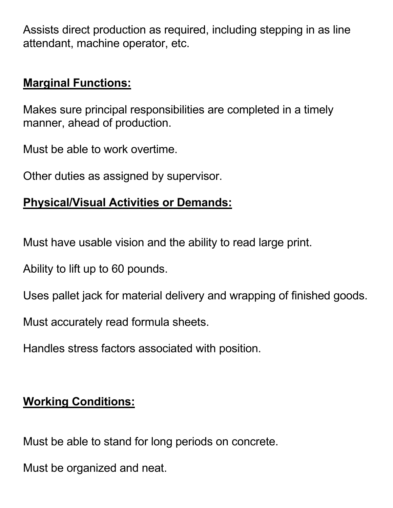Assists direct production as required, including stepping in as line attendant, machine operator, etc.

### **Marginal Functions:**

Makes sure principal responsibilities are completed in a timely manner, ahead of production.

Must be able to work overtime.

Other duties as assigned by supervisor.

## **Physical/Visual Activities or Demands:**

Must have usable vision and the ability to read large print.

Ability to lift up to 60 pounds.

Uses pallet jack for material delivery and wrapping of finished goods.

Must accurately read formula sheets.

Handles stress factors associated with position.

# **Working Conditions:**

Must be able to stand for long periods on concrete.

Must be organized and neat.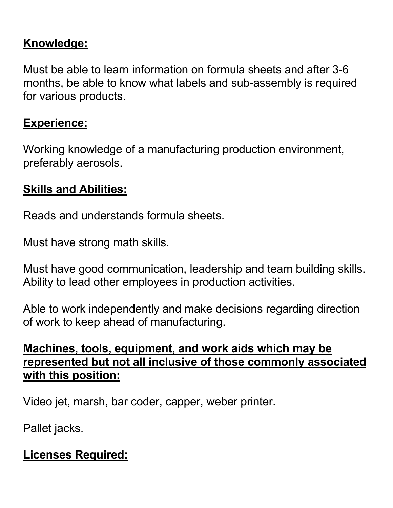## **Knowledge:**

Must be able to learn information on formula sheets and after 3-6 months, be able to know what labels and sub-assembly is required for various products.

#### **Experience:**

Working knowledge of a manufacturing production environment, preferably aerosols.

## **Skills and Abilities:**

Reads and understands formula sheets.

Must have strong math skills.

Must have good communication, leadership and team building skills. Ability to lead other employees in production activities.

Able to work independently and make decisions regarding direction of work to keep ahead of manufacturing.

#### **Machines, tools, equipment, and work aids which may be represented but not all inclusive of those commonly associated with this position:**

Video jet, marsh, bar coder, capper, weber printer.

Pallet jacks.

# **Licenses Required:**